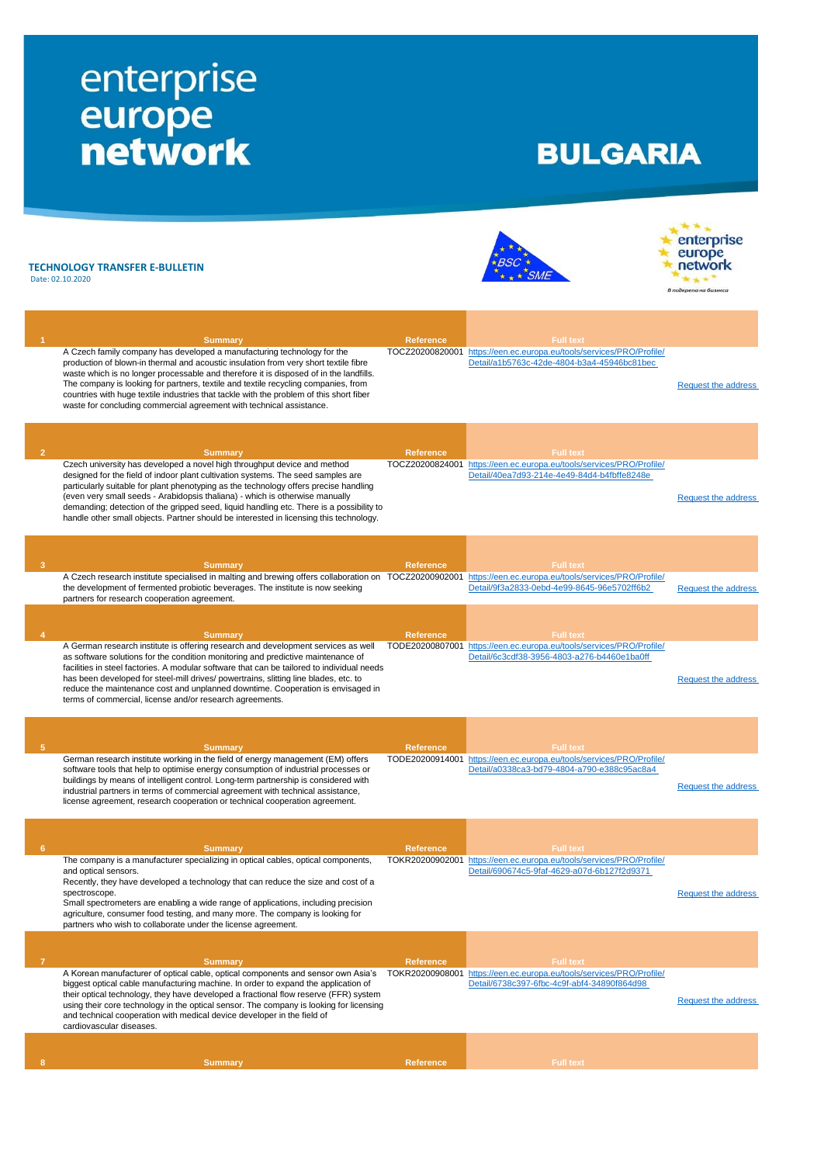## enterprise<br>
europe<br>
network

## **BULGARIA**

|   | TECHNOLOGY TRANSFER E-BULLETIN<br>Date: 02.10.2020                                                                                                                                                                                                                                                                                                                                                                                                                                                                          |                  |                                                                                                                                         | enterprise<br>В подкрепа на бизнес |
|---|-----------------------------------------------------------------------------------------------------------------------------------------------------------------------------------------------------------------------------------------------------------------------------------------------------------------------------------------------------------------------------------------------------------------------------------------------------------------------------------------------------------------------------|------------------|-----------------------------------------------------------------------------------------------------------------------------------------|------------------------------------|
|   |                                                                                                                                                                                                                                                                                                                                                                                                                                                                                                                             |                  |                                                                                                                                         |                                    |
|   | <b>Summary</b>                                                                                                                                                                                                                                                                                                                                                                                                                                                                                                              | <b>Reference</b> | <b>Full text</b>                                                                                                                        |                                    |
|   | A Czech family company has developed a manufacturing technology for the<br>production of blown-in thermal and acoustic insulation from very short textile fibre<br>waste which is no longer processable and therefore it is disposed of in the landfills.<br>The company is looking for partners, textile and textile recycling companies, from<br>countries with huge textile industries that tackle with the problem of this short fiber<br>waste for concluding commercial agreement with technical assistance.          |                  | TOCZ20200820001 https://een.ec.europa.eu/tools/services/PRO/Profile/<br>Detail/a1b5763c-42de-4804-b3a4-45946bc81bec                     | Request the address                |
|   |                                                                                                                                                                                                                                                                                                                                                                                                                                                                                                                             |                  |                                                                                                                                         |                                    |
|   | <b>Summary</b>                                                                                                                                                                                                                                                                                                                                                                                                                                                                                                              | <b>Reference</b> | <b>Full text</b>                                                                                                                        |                                    |
|   | Czech university has developed a novel high throughput device and method<br>designed for the field of indoor plant cultivation systems. The seed samples are<br>particularly suitable for plant phenotyping as the technology offers precise handling<br>(even very small seeds - Arabidopsis thaliana) - which is otherwise manually<br>demanding; detection of the gripped seed, liquid handling etc. There is a possibility to<br>handle other small objects. Partner should be interested in licensing this technology. |                  | TOCZ20200824001 https://een.ec.europa.eu/tools/services/PRO/Profile/<br>Detail/40ea7d93-214e-4e49-84d4-b4fbffe8248e                     | <b>Request the address</b>         |
|   |                                                                                                                                                                                                                                                                                                                                                                                                                                                                                                                             |                  |                                                                                                                                         |                                    |
|   | <b>Summary</b>                                                                                                                                                                                                                                                                                                                                                                                                                                                                                                              | <b>Reference</b> | <b>Full text</b>                                                                                                                        |                                    |
|   | A Czech research institute specialised in malting and brewing offers collaboration on TOCZ20200902001 https://een.ec.europa.eu/tools/services/PRO/Profile/<br>the development of fermented probiotic beverages. The institute is now seeking<br>partners for research cooperation agreement.                                                                                                                                                                                                                                |                  | Detail/9f3a2833-0ebd-4e99-8645-96e5702ff6b2                                                                                             | Request the address                |
|   |                                                                                                                                                                                                                                                                                                                                                                                                                                                                                                                             |                  |                                                                                                                                         |                                    |
|   | <b>Summary</b>                                                                                                                                                                                                                                                                                                                                                                                                                                                                                                              | <b>Reference</b> | <b>Full text</b>                                                                                                                        |                                    |
|   | A German research institute is offering research and development services as well<br>as software solutions for the condition monitoring and predictive maintenance of<br>facilities in steel factories. A modular software that can be tailored to individual needs<br>has been developed for steel-mill drives/ powertrains, slitting line blades, etc. to<br>reduce the maintenance cost and unplanned downtime. Cooperation is envisaged in<br>terms of commercial, license and/or research agreements.                  |                  | TODE20200807001 https://een.ec.europa.eu/tools/services/PRO/Profile/<br>Detail/6c3cdf38-3956-4803-a276-b4460e1ba0ff                     | <b>Request the address</b>         |
|   |                                                                                                                                                                                                                                                                                                                                                                                                                                                                                                                             |                  |                                                                                                                                         |                                    |
| 5 | <b>Summary</b>                                                                                                                                                                                                                                                                                                                                                                                                                                                                                                              | <b>Reference</b> | <b>Full text</b>                                                                                                                        |                                    |
|   | German research institute working in the field of energy management (EM) offers<br>software tools that help to optimise energy consumption of industrial processes or<br>buildings by means of intelligent control. Long-term partnership is considered with<br>industrial partners in terms of commercial agreement with technical assistance,<br>license agreement, research cooperation or technical cooperation agreement.                                                                                              |                  | TODE20200914001 https://een.ec.europa.eu/tools/services/PRO/Profile/<br>Detail/a0338ca3-bd79-4804-a790-e388c95ac8a4                     | <b>Request the address</b>         |
|   |                                                                                                                                                                                                                                                                                                                                                                                                                                                                                                                             |                  |                                                                                                                                         |                                    |
| 6 | <b>Summary</b><br>The company is a manufacturer specializing in optical cables, optical components,<br>and optical sensors.<br>Recently, they have developed a technology that can reduce the size and cost of a<br>spectroscope.<br>Small spectrometers are enabling a wide range of applications, including precision<br>agriculture, consumer food testing, and many more. The company is looking for<br>partners who wish to collaborate under the license agreement.                                                   | <b>Reference</b> | <b>Full text</b><br>TOKR20200902001 https://een.ec.europa.eu/tools/services/PRO/Profile/<br>Detail/690674c5-9faf-4629-a07d-6b127f2d9371 | Request the address                |
|   |                                                                                                                                                                                                                                                                                                                                                                                                                                                                                                                             |                  |                                                                                                                                         |                                    |
| 7 | <b>Summary</b>                                                                                                                                                                                                                                                                                                                                                                                                                                                                                                              | <b>Reference</b> | <b>Full text</b>                                                                                                                        |                                    |
|   | A Korean manufacturer of optical cable, optical components and sensor own Asia's<br>biggest optical cable manufacturing machine. In order to expand the application of<br>their optical technology, they have developed a fractional flow reserve (FFR) system<br>using their core technology in the optical sensor. The company is looking for licensing<br>and technical cooperation with medical device developer in the field of<br>cardiovascular diseases.                                                            |                  | TOKR20200908001 https://een.ec.europa.eu/tools/services/PRO/Profile/<br>Detail/6738c397-6fbc-4c9f-abf4-34890f864d98                     | Request the address                |
|   |                                                                                                                                                                                                                                                                                                                                                                                                                                                                                                                             |                  |                                                                                                                                         |                                    |
| 8 | <b>Summary</b>                                                                                                                                                                                                                                                                                                                                                                                                                                                                                                              | <b>Reference</b> | <b>Full text</b>                                                                                                                        |                                    |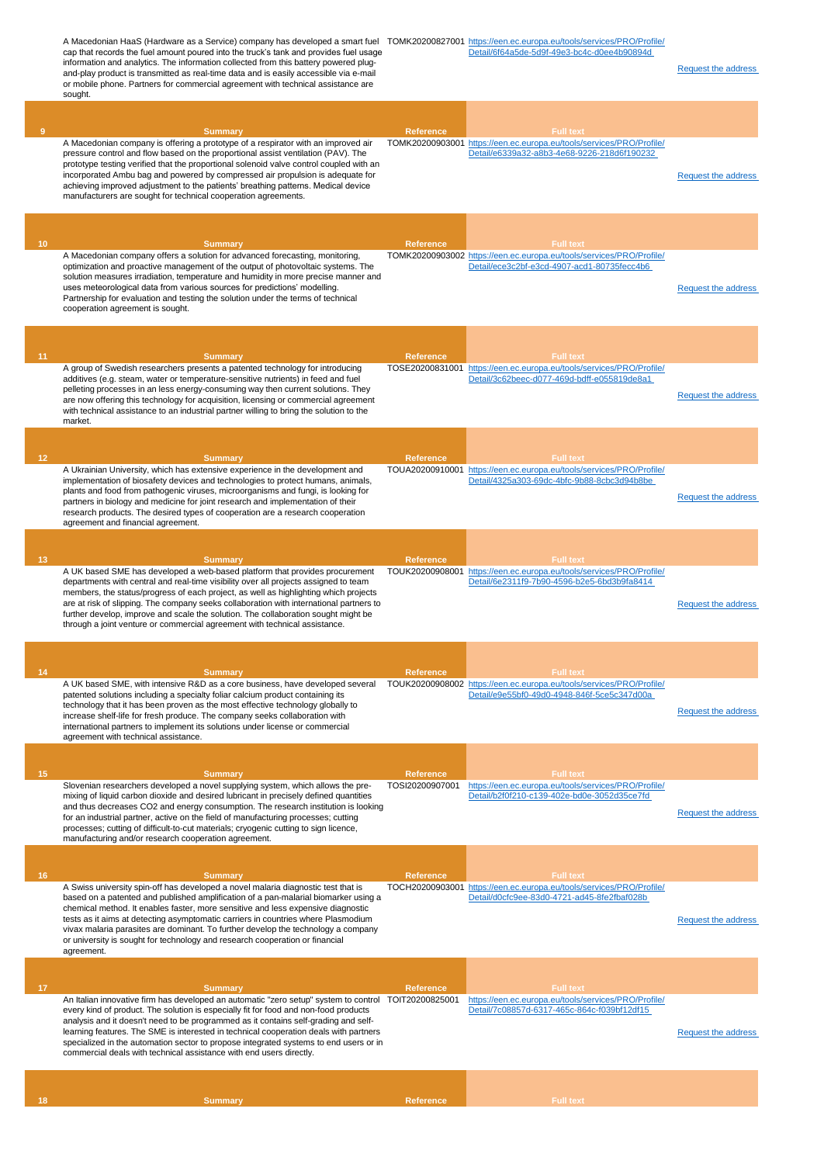A Macedonian HaaS (Hardware as a Service) company has developed a smart fuel TOMK20200827001 [https://een.ec.europa.eu/tools/services/PRO/Profile/](https://een.ec.europa.eu/tools/services/PRO/Profile/Detail/6f64a5de-5d9f-49e3-bc4c-d0ee4b90894d) cap that records the fuel amount poured into the truck's tank and provides fuel usage information and analytics. The information collected from this battery powered plugand-play product is transmitted as real-time data and is easily accessible via e-mail or mobile phone. Partners for commercial agreement with technical assistance are sought. [Detail/6f64a5de-5d9f-49e3-bc4c-d0ee4b90894d](https://een.ec.europa.eu/tools/services/PRO/Profile/Detail/6f64a5de-5d9f-49e3-bc4c-d0ee4b90894d)  [Request the address](http://www.een.bg/index.php?option=com_rsform&formId=13)  **9 Summary Reference Full text** A Macedonian company is offering a prototype of a respirator with an improved air pressure control and flow based on the proportional assist ventilation (PAV). The prototype testing verified that the proportional solenoid valve control coupled with an incorporated Ambu bag and powered by compressed air propulsion is adequate for achieving improved adjustment to the patients' breathing patterns. Medical device manufacturers are sought for technical cooperation agreements. TOMK20200903001 [https://een.ec.europa.eu/tools/services/PRO/Profile/](https://een.ec.europa.eu/tools/services/PRO/Profile/Detail/e6339a32-a8b3-4e68-9226-218d6f190232) [Detail/e6339a32-a8b3-4e68-9226-218d6f190232](https://een.ec.europa.eu/tools/services/PRO/Profile/Detail/e6339a32-a8b3-4e68-9226-218d6f190232)  [Request the address](http://www.een.bg/index.php?option=com_rsform&formId=13)  **10 Summary Reference Full text** A Macedonian company offers a solution for advanced forecasting, monitoring, optimization and proactive management of the output of photovoltaic systems. The solution measures irradiation, temperature and humidity in more precise manner and uses meteorological data from various sources for predictions' modelling. Partnership for evaluation and testing the solution under the terms of technical cooperation agreement is sought. TOMK20200903002 [https://een.ec.europa.eu/tools/services/PRO/Profile/](https://een.ec.europa.eu/tools/services/PRO/Profile/Detail/ece3c2bf-e3cd-4907-acd1-80735fecc4b6) [Detail/ece3c2bf-e3cd-4907-acd1-80735fecc4b6](https://een.ec.europa.eu/tools/services/PRO/Profile/Detail/ece3c2bf-e3cd-4907-acd1-80735fecc4b6)  [Request the address](http://www.een.bg/index.php?option=com_rsform&formId=13)  **11 Summary Reference Full text** A group of Swedish researchers presents a patented technology for introducing additives (e.g. steam, water or temperature-sensitive nutrients) in feed and fuel pelleting processes in an less energy-consuming way then current solutions. They are now offering this technology for acquisition, licensing or commercial agreement with technical assistance to an industrial partner willing to bring the solution to the market. TOSE20200831001 [https://een.ec.europa.eu/tools/services/PRO/Profile/](https://een.ec.europa.eu/tools/services/PRO/Profile/Detail/3c62beec-d077-469d-bdff-e055819de8a1) [Detail/3c62beec-d077-469d-bdff-e055819de8a1](https://een.ec.europa.eu/tools/services/PRO/Profile/Detail/3c62beec-d077-469d-bdff-e055819de8a1)  [Request the address](http://www.een.bg/index.php?option=com_rsform&formId=13)  **12 Summary Reference Full text** A Ukrainian University, which has extensive experience in the development and implementation of biosafety devices and technologies to protect humans, animals, plants and food from pathogenic viruses, microorganisms and fungi, is looking for partners in biology and medicine for joint research and implementation of their research products. The desired types of cooperation are a research cooperation agreement and financial agreement. TOUA20200910001 [https://een.ec.europa.eu/tools/services/PRO/Profile/](https://een.ec.europa.eu/tools/services/PRO/Profile/Detail/4325a303-69dc-4bfc-9b88-8cbc3d94b8be) -4bfc-9b88-8cbc3d94b8be [Request the address](http://www.een.bg/index.php?option=com_rsform&formId=13)  **13 Summary Reference Full text** A UK based SME has developed a web-based platform that provides procurement departments with central and real-time visibility over all projects assigned to team members, the status/progress of each project, as well as highlighting which projects are at risk of slipping. The company seeks collaboration with international partners to further develop, improve and scale the solution. The collaboration sought might be through a joint venture or commercial agreement with technical assistance. TOUK20200908001 [https://een.ec.europa.eu/tools/services/PRO/Profile/](https://een.ec.europa.eu/tools/services/PRO/Profile/Detail/6e2311f9-7b90-4596-b2e5-6bd3b9fa8414) [Detail/6e2311f9-7b90-4596-b2e5-6bd3b9fa8414](https://een.ec.europa.eu/tools/services/PRO/Profile/Detail/6e2311f9-7b90-4596-b2e5-6bd3b9fa8414)  [Request the address](http://www.een.bg/index.php?option=com_rsform&formId=13)  **14 Summary Reference Full text** A UK based SME, with intensive R&D as a core business, have developed several patented solutions including a specialty foliar calcium product containing its technology that it has been proven as the most effective technology globally to increase shelf-life for fresh produce. The company seeks collaboration with international partners to implement its solutions under license or commercial agreement with technical assistance. TOUK20200908002 [https://een.ec.europa.eu/tools/services/PRO/Profile/](https://een.ec.europa.eu/tools/services/PRO/Profile/Detail/e9e55bf0-49d0-4948-846f-5ce5c347d00a) [Detail/e9e55bf0-49d0-4948-846f-5ce5c347d00a](https://een.ec.europa.eu/tools/services/PRO/Profile/Detail/e9e55bf0-49d0-4948-846f-5ce5c347d00a)  [Request the address](http://www.een.bg/index.php?option=com_rsform&formId=13)  **15 Summary Reference Full text** Slovenian researchers developed a novel supplying system, which allows the pre-mixing of liquid carbon dioxide and desired lubricant in precisely defined quantities and thus decreases CO2 and energy consumption. The research institution is looking for an industrial partner, active on the field of manufacturing processes; cutting processes; cutting of difficult-to-cut materials; cryogenic cutting to sign licence, manufacturing and/or research cooperation agreement. TOSI20200907001 [https://een.ec.europa.eu/tools/services/PRO/Profile/](https://een.ec.europa.eu/tools/services/PRO/Profile/Detail/b2f0f210-c139-402e-bd0e-3052d35ce7fd) [Detail/b2f0f210-c139-402e-bd0e-3052d35ce7fd](https://een.ec.europa.eu/tools/services/PRO/Profile/Detail/b2f0f210-c139-402e-bd0e-3052d35ce7fd)  [Request the address](http://www.een.bg/index.php?option=com_rsform&formId=13)  **16 Summary Reference Full text** A Swiss university spin-off has developed a novel malaria diagnostic test that is based on a patented and published amplification of a pan-malarial biomarker using a chemical method. It enables faster, more sensitive and less expensive diagnostic tests as it aims at detecting asymptomatic carriers in countries where Plasmodium vivax malaria parasites are dominant. To further develop the technology a company or university is sought for technology and research cooperation or financial agreement. TOCH20200903001 [https://een.ec.europa.eu/tools/services/PRO/Profile/](https://een.ec.europa.eu/tools/services/PRO/Profile/Detail/d0cfc9ee-83d0-4721-ad45-8fe2fbaf028b) [Detail/d0cfc9ee-83d0-4721-ad45-8fe2fbaf028b](https://een.ec.europa.eu/tools/services/PRO/Profile/Detail/d0cfc9ee-83d0-4721-ad45-8fe2fbaf028b)  [Request the address](http://www.een.bg/index.php?option=com_rsform&formId=13)  **17 Summary Reference Full text** An Italian innovative firm has developed an automatic "zero setup" system to control TOIT20200825001 every kind of product. The solution is especially fit for food and non-food products analysis and it doesn't need to be programmed as it contains self-grading and selflearning features. The SME is interested in technical cooperation deals with partners specialized in the automation sector to propose integrated systems to end users or in commercial deals with technical assistance with end users directly. [https://een.ec.europa.eu/tools/services/PRO/Profile/](https://een.ec.europa.eu/tools/services/PRO/Profile/Detail/7c08857d-6317-465c-864c-f039bf12df15) [Detail/7c08857d-6317-465c-864c-f039bf12df15](https://een.ec.europa.eu/tools/services/PRO/Profile/Detail/7c08857d-6317-465c-864c-f039bf12df15)  [Request the address](http://www.een.bg/index.php?option=com_rsform&formId=13) 

**18 Summary Reference Full text**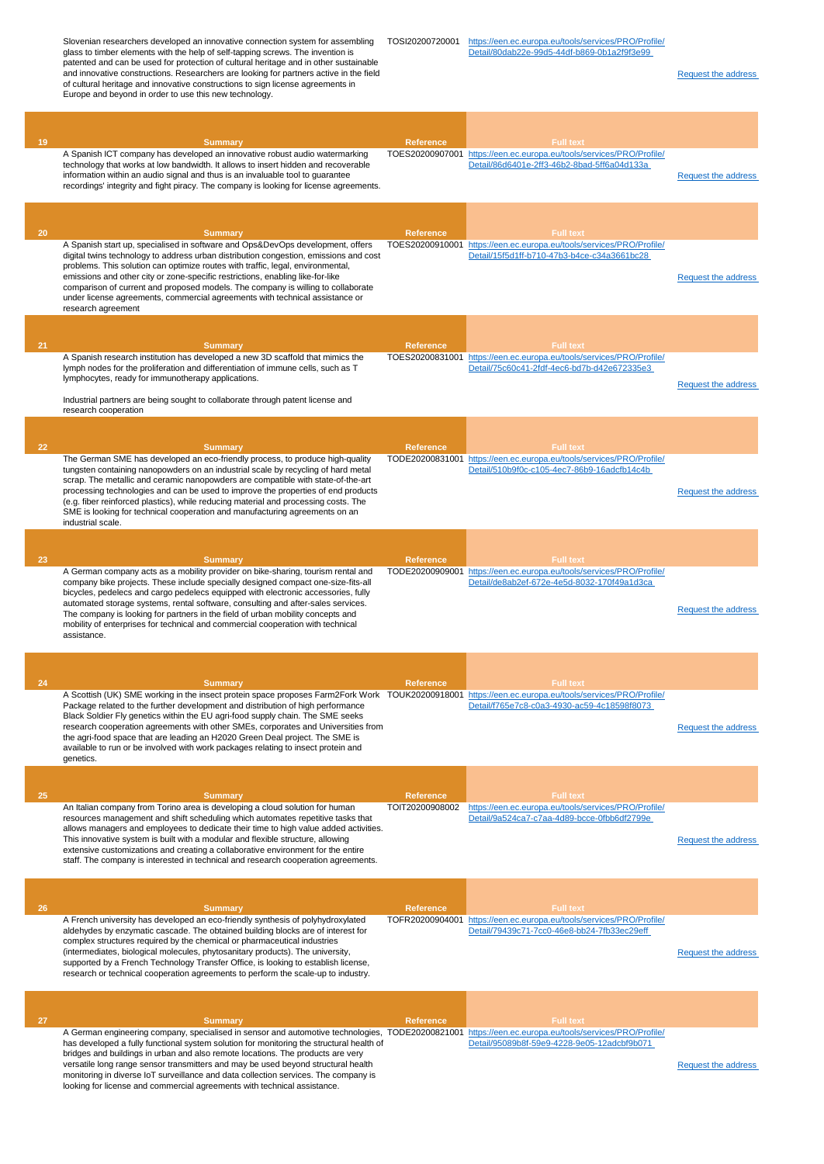patented and can be used for protection of cultural heritage and in other sustainable and innovative constructions. Researchers are looking for partners active in the field of cultural heritage and innovative constructions to sign license agreements in Europe and beyond in order to use this new technology. [Request the address](http://www.een.bg/index.php?option=com_rsform&formId=13)  **19 Summary Reference Full text** A Spanish ICT company has developed an innovative robust audio watermarking technology that works at low bandwidth. It allows to insert hidden and recoverable information within an audio signal and thus is an invaluable tool to guarantee recordings' integrity and fight piracy. The company is looking for license agreements. TOES20200907001 [https://een.ec.europa.eu/tools/services/PRO/Profile/](https://een.ec.europa.eu/tools/services/PRO/Profile/Detail/86d6401e-2ff3-46b2-8bad-5ff6a04d133a) [Detail/86d6401e-2ff3-46b2-8bad-5ff6a04d133a](https://een.ec.europa.eu/tools/services/PRO/Profile/Detail/86d6401e-2ff3-46b2-8bad-5ff6a04d133a)  [Request the address](http://www.een.bg/index.php?option=com_rsform&formId=13)  **20 Summary Reference Full text** A Spanish start up, specialised in software and Ops&DevOps development, offers digital twins technology to address urban distribution congestion, emissions and cost problems. This solution can optimize routes with traffic, legal, environmental, emissions and other city or zone-specific restrictions, enabling like-for-like comparison of current and proposed models. The company is willing to collaborate under license agreements, commercial agreements with technical assistance or research agreement TOES20200910001 [https://een.ec.europa.eu/tools/services/PRO/Profile/](https://een.ec.europa.eu/tools/services/PRO/Profile/Detail/15f5d1ff-b710-47b3-b4ce-c34a3661bc28) [Detail/15f5d1ff-b710-47b3-b4ce-c34a3661bc28](https://een.ec.europa.eu/tools/services/PRO/Profile/Detail/15f5d1ff-b710-47b3-b4ce-c34a3661bc28)  [Request the address](http://www.een.bg/index.php?option=com_rsform&formId=13)  **21 Summary Reference Full text** A Spanish research institution has developed a new 3D scaffold that mimics the lymph nodes for the proliferation and differentiation of immune cells, such as T lymphocytes, ready for immunotherapy applications. Industrial partners are being sought to collaborate through patent license and research cooperation TOES20200831001 [https://een.ec.europa.eu/tools/services/PRO/Profile/](https://een.ec.europa.eu/tools/services/PRO/Profile/Detail/75c60c41-2fdf-4ec6-bd7b-d42e672335e3) [Detail/75c60c41-2fdf-4ec6-bd7b-d42e672335e3](https://een.ec.europa.eu/tools/services/PRO/Profile/Detail/75c60c41-2fdf-4ec6-bd7b-d42e672335e3)  [Request the address](http://www.een.bg/index.php?option=com_rsform&formId=13)  **22 Summary Reference Full text** The German SME has developed an eco-friendly process, to produce high-quality tungsten containing nanopowders on an industrial scale by recycling of hard metal scrap. The metallic and ceramic nanopowders are compatible with state-of-the-art processing technologies and can be used to improve the properties of end products (e.g. fiber reinforced plastics), while reducing material and processing costs. The SME is looking for technical cooperation and manufacturing agreements on an industrial scale. TODE20200831001 [https://een.ec.europa.eu/tools/services/PRO/Profile/](https://een.ec.europa.eu/tools/services/PRO/Profile/Detail/510b9f0c-c105-4ec7-86b9-16adcfb14c4b) [Detail/510b9f0c-c105-4ec7-86b9-16adcfb14c4b](https://een.ec.europa.eu/tools/services/PRO/Profile/Detail/510b9f0c-c105-4ec7-86b9-16adcfb14c4b)  [Request the address](http://www.een.bg/index.php?option=com_rsform&formId=13)  **23 Summary Reference Full text** A German company acts as a mobility provider on bike-sharing, tourism rental and company bike projects. These include specially designed compact one-size-fits-all bicycles, pedelecs and cargo pedelecs equipped with electronic accessories, fully automated storage systems, rental software, consulting and after-sales services. The company is looking for partners in the field of urban mobility concepts and mobility of enterprises for technical and commercial cooperation with technical assistance. TODE20200909001 [https://een.ec.europa.eu/tools/services/PRO/Profile/](https://een.ec.europa.eu/tools/services/PRO/Profile/Detail/de8ab2ef-672e-4e5d-8032-170f49a1d3ca) [Detail/de8ab2ef-672e-4e5d-8032-170f49a1d3ca](https://een.ec.europa.eu/tools/services/PRO/Profile/Detail/de8ab2ef-672e-4e5d-8032-170f49a1d3ca)  [Request the address](http://www.een.bg/index.php?option=com_rsform&formId=13)  **24 Summary Reference Full text** A Scottish (UK) SME working in the insect protein space proposes Farm2Fork Work TOUK20200918001 [https://een.ec.europa.eu/tools/services/PRO/Profile/](https://een.ec.europa.eu/tools/services/PRO/Profile/Detail/f765e7c8-c0a3-4930-ac59-4c18598f8073) Package related to the further development and distribution of high performance Black Soldier Fly genetics within the EU agri-food supply chain. The SME seeks research cooperation agreements with other SMEs, corporates and Universities from the agri-food space that are leading an H2020 Green Deal project. The SME is available to run or be involved with work packages relating to insect protein and genetics. [Detail/f765e7c8-c0a3-4930-ac59-4c18598f8073](https://een.ec.europa.eu/tools/services/PRO/Profile/Detail/f765e7c8-c0a3-4930-ac59-4c18598f8073)  [Request the address](http://www.een.bg/index.php?option=com_rsform&formId=13)  **25 Summary Reference Full text** An Italian company from Torino area is developing a cloud solution for human resources management and shift scheduling which automates repetitive tasks that allows managers and employees to dedicate their time to high value added activities. This innovative system is built with a modular and flexible structure, allowing extensive customizations and creating a collaborative environment for the entire staff. The company is interested in technical and research cooperation agreements. TOIT20200908002 [https://een.ec.europa.eu/tools/services/PRO/Profile/](https://een.ec.europa.eu/tools/services/PRO/Profile/Detail/9a524ca7-c7aa-4d89-bcce-0fbb6df2799e) [Detail/9a524ca7-c7aa-4d89-bcce-0fbb6df2799e](https://een.ec.europa.eu/tools/services/PRO/Profile/Detail/9a524ca7-c7aa-4d89-bcce-0fbb6df2799e)  [Request the address](http://www.een.bg/index.php?option=com_rsform&formId=13)  **26 Summary Reference Full text** A French university has developed an eco-friendly synthesis of polyhydroxylated aldehydes by enzymatic cascade. The obtained building blocks are of interest for complex structures required by the chemical or pharmaceutical industries (intermediates, biological molecules, phytosanitary products). The university, supported by a French Technology Transfer Office, is looking to establish license, research or technical cooperation agreements to perform the scale-up to industry. TOFR20200904001 [https://een.ec.europa.eu/tools/services/PRO/Profile/](https://een.ec.europa.eu/tools/services/PRO/Profile/Detail/79439c71-7cc0-46e8-bb24-7fb33ec29eff) [Detail/79439c71-7cc0-46e8-bb24-7fb33ec29eff](https://een.ec.europa.eu/tools/services/PRO/Profile/Detail/79439c71-7cc0-46e8-bb24-7fb33ec29eff)  [Request the address](http://www.een.bg/index.php?option=com_rsform&formId=13)  **27 Summary Reference Full text** A German engineering company, specialised in sensor and automotive technologies, TODE20200821001 [https://een.ec.europa.eu/tools/services/PRO/Profile/](https://een.ec.europa.eu/tools/services/PRO/Profile/Detail/95089b8f-59e9-4228-9e05-12adcbf9b071) has developed a fully functional system solution for monitoring the structural health of bridges and buildings in urban and also remote locations. The products are very versatile long range sensor transmitters and may be used beyond structural health monitoring in diverse IoT surveillance and data collection services. The company is looking for license and commercial agreements with technical assistance. [Detail/95089b8f-59e9-4228-9e05-12adcbf9b071](https://een.ec.europa.eu/tools/services/PRO/Profile/Detail/95089b8f-59e9-4228-9e05-12adcbf9b071)  [Request the address](http://www.een.bg/index.php?option=com_rsform&formId=13) 

[https://een.ec.europa.eu/tools/services/PRO/Profile/](https://een.ec.europa.eu/tools/services/PRO/Profile/Detail/80dab22e-99d5-44df-b869-0b1a2f9f3e99) [Detail/80dab22e-99d5-44df-b869-0b1a2f9f3e99](https://een.ec.europa.eu/tools/services/PRO/Profile/Detail/80dab22e-99d5-44df-b869-0b1a2f9f3e99) 

Slovenian researchers developed an innovative connection system for assembling TOSI20200720001

glass to timber elements with the help of self-tapping screws. The invention is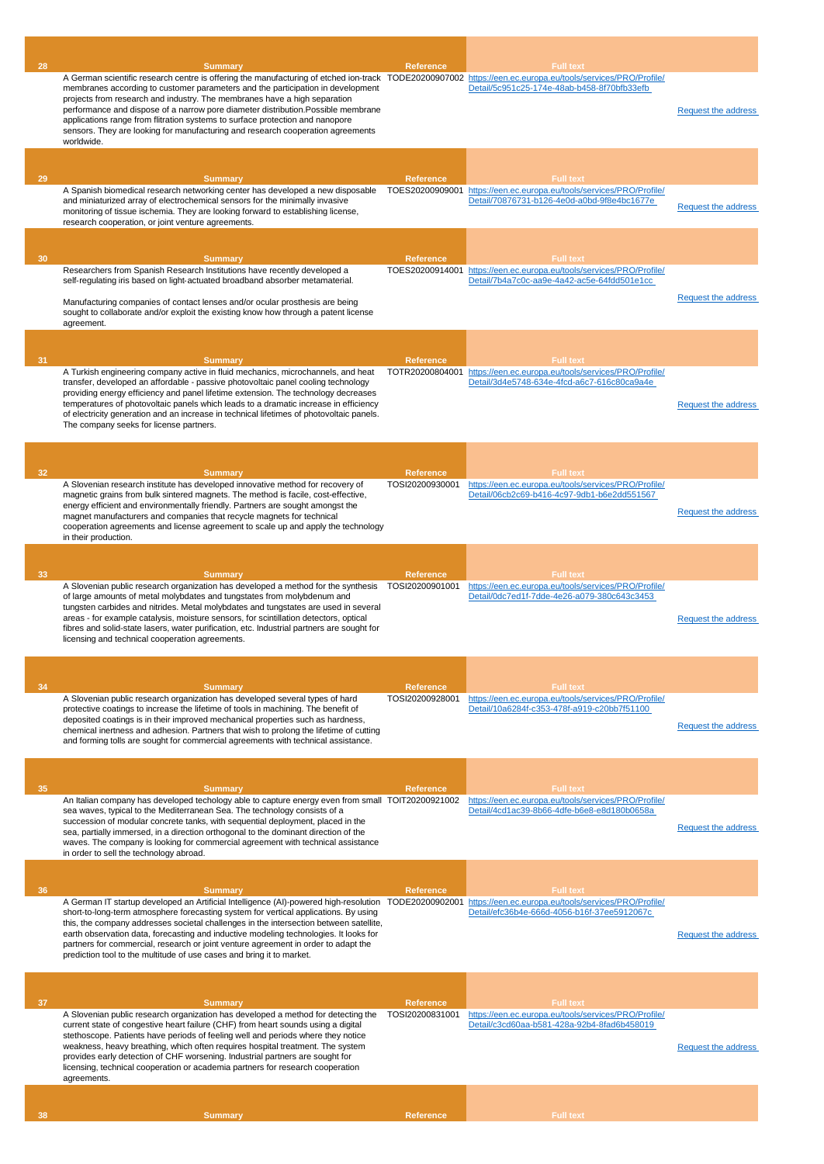| 28 |                                                                                                                                                                                                                                                                                                                                                                                                                                                                                                                                 | <b>Reference</b>                    | <b>Full text</b>                                                                                                    |                            |
|----|---------------------------------------------------------------------------------------------------------------------------------------------------------------------------------------------------------------------------------------------------------------------------------------------------------------------------------------------------------------------------------------------------------------------------------------------------------------------------------------------------------------------------------|-------------------------------------|---------------------------------------------------------------------------------------------------------------------|----------------------------|
|    | <b>Summary</b><br>A German scientific research centre is offering the manufacturing of etched ion-track TODE20200907002 https://een.ec.europa.eu/tools/services/PRO/Profile/<br>membranes according to customer parameters and the participation in development<br>projects from research and industry. The membranes have a high separation<br>performance and dispose of a narrow pore diameter distribution. Possible membrane<br>applications range from flitration systems to surface protection and nanopore              |                                     | Detail/5c951c25-174e-48ab-b458-8f70bfb33efb                                                                         | Request the address        |
|    | sensors. They are looking for manufacturing and research cooperation agreements<br>worldwide.                                                                                                                                                                                                                                                                                                                                                                                                                                   |                                     |                                                                                                                     |                            |
|    |                                                                                                                                                                                                                                                                                                                                                                                                                                                                                                                                 |                                     |                                                                                                                     |                            |
| 29 | <b>Summary</b>                                                                                                                                                                                                                                                                                                                                                                                                                                                                                                                  | <b>Reference</b>                    | <b>Full text</b>                                                                                                    |                            |
|    | A Spanish biomedical research networking center has developed a new disposable<br>and miniaturized array of electrochemical sensors for the minimally invasive<br>monitoring of tissue ischemia. They are looking forward to establishing license,<br>research cooperation, or joint venture agreements.                                                                                                                                                                                                                        |                                     | TOES20200909001 https://een.ec.europa.eu/tools/services/PRO/Profile/<br>Detail/70876731-b126-4e0d-a0bd-9f8e4bc1677e | <b>Request the address</b> |
| 30 | <b>Summary</b>                                                                                                                                                                                                                                                                                                                                                                                                                                                                                                                  | <b>Reference</b>                    | <b>Full text</b>                                                                                                    |                            |
|    | Researchers from Spanish Research Institutions have recently developed a<br>self-regulating iris based on light-actuated broadband absorber metamaterial.                                                                                                                                                                                                                                                                                                                                                                       |                                     | TOES20200914001 https://een.ec.europa.eu/tools/services/PRO/Profile/<br>Detail/7b4a7c0c-aa9e-4a42-ac5e-64fdd501e1cc |                            |
|    | Manufacturing companies of contact lenses and/or ocular prosthesis are being<br>sought to collaborate and/or exploit the existing know how through a patent license<br>agreement.                                                                                                                                                                                                                                                                                                                                               |                                     |                                                                                                                     | Request the address        |
|    |                                                                                                                                                                                                                                                                                                                                                                                                                                                                                                                                 |                                     |                                                                                                                     |                            |
| 31 | <b>Summary</b>                                                                                                                                                                                                                                                                                                                                                                                                                                                                                                                  | Reference                           | <b>Full text</b>                                                                                                    |                            |
|    | A Turkish engineering company active in fluid mechanics, microchannels, and heat<br>transfer, developed an affordable - passive photovoltaic panel cooling technology<br>providing energy efficiency and panel lifetime extension. The technology decreases<br>temperatures of photovoltaic panels which leads to a dramatic increase in efficiency<br>of electricity generation and an increase in technical lifetimes of photovoltaic panels.<br>The company seeks for license partners.                                      |                                     | TOTR20200804001 https://een.ec.europa.eu/tools/services/PRO/Profile/<br>Detail/3d4e5748-634e-4fcd-a6c7-616c80ca9a4e | <b>Request the address</b> |
|    |                                                                                                                                                                                                                                                                                                                                                                                                                                                                                                                                 |                                     |                                                                                                                     |                            |
| 32 | <b>Summary</b>                                                                                                                                                                                                                                                                                                                                                                                                                                                                                                                  | Reference                           | <b>Full text</b>                                                                                                    |                            |
|    | A Slovenian research institute has developed innovative method for recovery of<br>magnetic grains from bulk sintered magnets. The method is facile, cost-effective,<br>energy efficient and environmentally friendly. Partners are sought amongst the<br>magnet manufacturers and companies that recycle magnets for technical<br>cooperation agreements and license agreement to scale up and apply the technology<br>in their production.                                                                                     | TOSI20200930001                     | https://een.ec.europa.eu/tools/services/PRO/Profile/<br>Detail/06cb2c69-b416-4c97-9db1-b6e2dd551567                 | <b>Request the address</b> |
|    |                                                                                                                                                                                                                                                                                                                                                                                                                                                                                                                                 |                                     |                                                                                                                     |                            |
| 33 | <b>Summary</b><br>A Slovenian public research organization has developed a method for the synthesis                                                                                                                                                                                                                                                                                                                                                                                                                             | <b>Reference</b><br>TOSI20200901001 | <b>Full text</b>                                                                                                    |                            |
|    |                                                                                                                                                                                                                                                                                                                                                                                                                                                                                                                                 |                                     | https://een.ec.europa.eu/tools/services/PRO/Profile/                                                                |                            |
|    | of large amounts of metal molybdates and tungstates from molybdenum and<br>tungsten carbides and nitrides. Metal molybdates and tungstates are used in several<br>areas - for example catalysis, moisture sensors, for scintillation detectors, optical<br>fibres and solid-state lasers, water purification, etc. Industrial partners are sought for<br>licensing and technical cooperation agreements.                                                                                                                        |                                     | Detail/0dc7ed1f-7dde-4e26-a079-380c643c3453                                                                         | <b>Request the address</b> |
|    |                                                                                                                                                                                                                                                                                                                                                                                                                                                                                                                                 |                                     |                                                                                                                     |                            |
| 34 | <b>Summary</b>                                                                                                                                                                                                                                                                                                                                                                                                                                                                                                                  | <b>Reference</b>                    | <b>Full text</b>                                                                                                    |                            |
|    | A Slovenian public research organization has developed several types of hard<br>protective coatings to increase the lifetime of tools in machining. The benefit of<br>deposited coatings is in their improved mechanical properties such as hardness,<br>chemical inertness and adhesion. Partners that wish to prolong the lifetime of cutting<br>and forming tolls are sought for commercial agreements with technical assistance.                                                                                            | TOSI20200928001                     | https://een.ec.europa.eu/tools/services/PRO/Profile/<br>Detail/10a6284f-c353-478f-a919-c20bb7f51100                 | Request the address        |
|    |                                                                                                                                                                                                                                                                                                                                                                                                                                                                                                                                 |                                     |                                                                                                                     |                            |
| 35 | <b>Summary</b>                                                                                                                                                                                                                                                                                                                                                                                                                                                                                                                  | <b>Reference</b>                    | <b>Full text</b>                                                                                                    |                            |
|    | An Italian company has developed techology able to capture energy even from small TOIT20200921002<br>sea waves, typical to the Mediterranean Sea. The technology consists of a<br>succession of modular concrete tanks, with sequential deployment, placed in the<br>sea, partially immersed, in a direction orthogonal to the dominant direction of the<br>waves. The company is looking for commercial agreement with technical assistance<br>in order to sell the technology abroad.                                         |                                     | https://een.ec.europa.eu/tools/services/PRO/Profile/<br>Detail/4cd1ac39-8b66-4dfe-b6e8-e8d180b0658a                 | Request the address        |
|    |                                                                                                                                                                                                                                                                                                                                                                                                                                                                                                                                 |                                     |                                                                                                                     |                            |
| 36 | Summary                                                                                                                                                                                                                                                                                                                                                                                                                                                                                                                         | <b>Reference</b>                    | <b>Full text</b>                                                                                                    |                            |
|    | A German IT startup developed an Artificial Intelligence (AI)-powered high-resolution<br>short-to-long-term atmosphere forecasting system for vertical applications. By using<br>this, the company addresses societal challenges in the intersection between satellite,<br>earth observation data, forecasting and inductive modeling technologies. It looks for<br>partners for commercial, research or joint venture agreement in order to adapt the<br>prediction tool to the multitude of use cases and bring it to market. |                                     | TODE20200902001 https://een.ec.europa.eu/tools/services/PRO/Profile/<br>Detail/efc36b4e-666d-4056-b16f-37ee5912067c | Request the address        |
|    |                                                                                                                                                                                                                                                                                                                                                                                                                                                                                                                                 |                                     |                                                                                                                     |                            |
| 37 | <b>Summary</b>                                                                                                                                                                                                                                                                                                                                                                                                                                                                                                                  | <b>Reference</b>                    | <b>Full text</b>                                                                                                    |                            |
|    | A Slovenian public research organization has developed a method for detecting the<br>current state of congestive heart failure (CHF) from heart sounds using a digital<br>stethoscope. Patients have periods of feeling well and periods where they notice<br>weakness, heavy breathing, which often requires hospital treatment. The system<br>provides early detection of CHF worsening. Industrial partners are sought for<br>licensing, technical cooperation or academia partners for research cooperation<br>agreements.  | TOSI20200831001                     | https://een.ec.europa.eu/tools/services/PRO/Profile/<br>Detail/c3cd60aa-b581-428a-92b4-8fad6b458019                 | <b>Request the address</b> |
|    |                                                                                                                                                                                                                                                                                                                                                                                                                                                                                                                                 |                                     |                                                                                                                     |                            |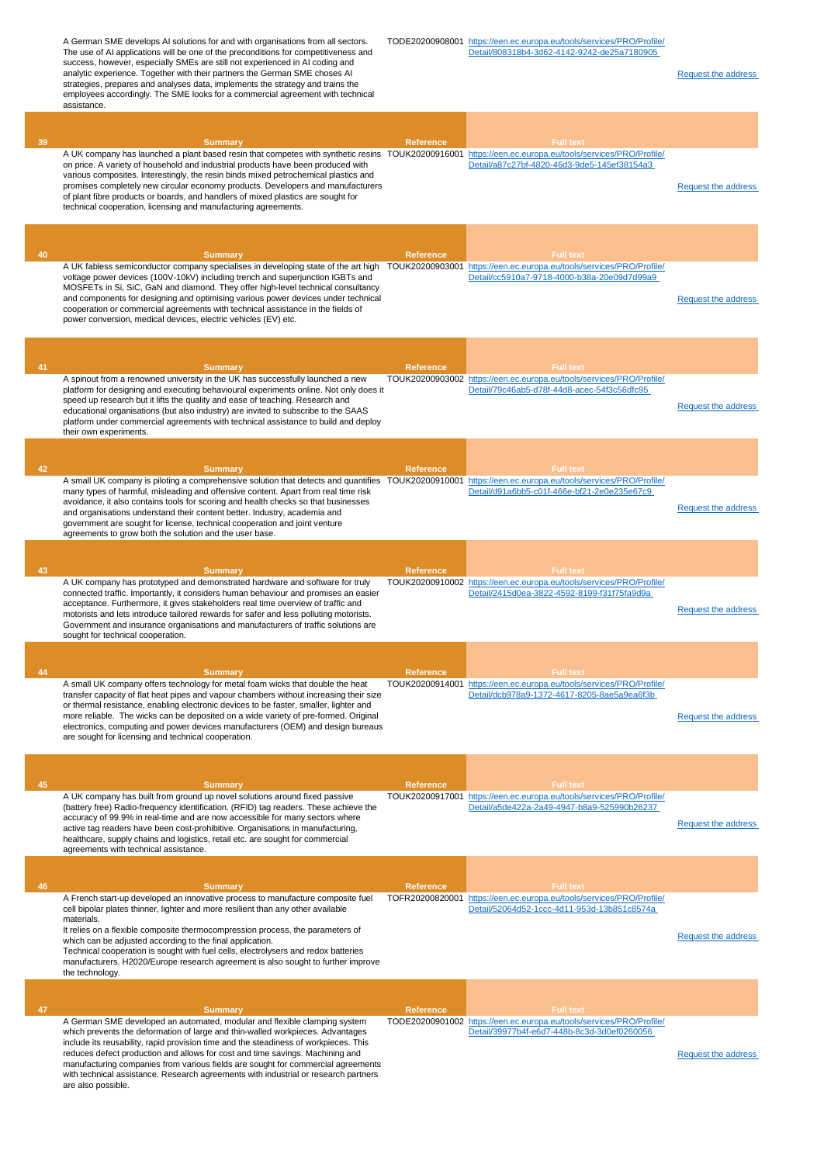|    | A German SME develops AI solutions for and with organisations from all sectors.<br>The use of AI applications will be one of the preconditions for competitiveness and<br>success, however, especially SMEs are still not experienced in AI coding and<br>analytic experience. Together with their partners the German SME choses AI<br>strategies, prepares and analyses data, implements the strategy and trains the<br>employees accordingly. The SME looks for a commercial agreement with technical<br>assistance.                                                                      |                                     | Detail/808318b4-3d62-4142-9242-de25a7180905                                                                                             | <b>Request the address</b> |
|----|----------------------------------------------------------------------------------------------------------------------------------------------------------------------------------------------------------------------------------------------------------------------------------------------------------------------------------------------------------------------------------------------------------------------------------------------------------------------------------------------------------------------------------------------------------------------------------------------|-------------------------------------|-----------------------------------------------------------------------------------------------------------------------------------------|----------------------------|
|    |                                                                                                                                                                                                                                                                                                                                                                                                                                                                                                                                                                                              |                                     |                                                                                                                                         |                            |
| 39 | <b>Summary</b><br>A UK company has launched a plant based resin that competes with synthetic resins TOUK20200916001 https://een.ec.europa.eu/tools/services/PRO/Profile/<br>on price. A variety of household and industrial products have been produced with<br>various composites. Interestingly, the resin binds mixed petrochemical plastics and<br>promises completely new circular economy products. Developers and manufacturers<br>of plant fibre products or boards, and handlers of mixed plastics are sought for<br>technical cooperation, licensing and manufacturing agreements. | <b>Reference</b>                    | <b>Full text</b><br>Detail/a87c27bf-4820-46d3-9de5-145ef38154a3                                                                         | <b>Request the address</b> |
| 40 | <b>Summary</b>                                                                                                                                                                                                                                                                                                                                                                                                                                                                                                                                                                               | <b>Reference</b>                    | <b>Full text</b>                                                                                                                        |                            |
|    | A UK fabless semiconductor company specialises in developing state of the art high<br>voltage power devices (100V-10kV) including trench and superjunction IGBTs and<br>MOSFETs in Si, SiC, GaN and diamond. They offer high-level technical consultancy<br>and components for designing and optimising various power devices under technical<br>cooperation or commercial agreements with technical assistance in the fields of<br>power conversion, medical devices, electric vehicles (EV) etc.                                                                                           | TOUK20200903001                     | https://een.ec.europa.eu/tools/services/PRO/Profile/<br>Detail/cc5910a7-9718-4000-b38a-20e09d7d99a9                                     | <b>Request the address</b> |
|    |                                                                                                                                                                                                                                                                                                                                                                                                                                                                                                                                                                                              |                                     |                                                                                                                                         |                            |
| 41 | <b>Summary</b><br>A spinout from a renowned university in the UK has successfully launched a new<br>platform for designing and executing behavioural experiments online. Not only does it<br>speed up research but it lifts the quality and ease of teaching. Research and<br>educational organisations (but also industry) are invited to subscribe to the SAAS<br>platform under commercial agreements with technical assistance to build and deploy<br>their own experiments.                                                                                                             | Reference                           | <b>Full text</b><br>TOUK20200903002 https://een.ec.europa.eu/tools/services/PRO/Profile/<br>Detail/79c46ab5-d78f-44d8-acec-54f3c56dfc95 | <b>Request the address</b> |
| 42 | <b>Summary</b>                                                                                                                                                                                                                                                                                                                                                                                                                                                                                                                                                                               | <b>Reference</b>                    | <b>Full text</b>                                                                                                                        |                            |
|    | A small UK company is piloting a comprehensive solution that detects and quantifies TOUK20200910001 https://een.ec.europa.eu/tools/services/PRO/Profile/<br>many types of harmful, misleading and offensive content. Apart from real time risk<br>avoidance, it also contains tools for scoring and health checks so that businesses<br>and organisations understand their content better. Industry, academia and<br>government are sought for license, technical cooperation and joint venture<br>agreements to grow both the solution and the user base.                                   |                                     | Detail/d91a6bb5-c01f-466e-bf21-2e0e235e67c9                                                                                             | <b>Request the address</b> |
|    |                                                                                                                                                                                                                                                                                                                                                                                                                                                                                                                                                                                              |                                     |                                                                                                                                         |                            |
| 43 | <b>Summary</b><br>A UK company has prototyped and demonstrated hardware and software for truly<br>connected traffic. Importantly, it considers human behaviour and promises an easier<br>acceptance. Furthermore, it gives stakeholders real time overview of traffic and<br>motorists and lets introduce tailored rewards for safer and less polluting motorists.<br>Government and insurance organisations and manufacturers of traffic solutions are<br>sought for technical cooperation.                                                                                                 | <b>Reference</b>                    | <b>Full text</b><br>TOUK20200910002 https://een.ec.europa.eu/tools/services/PRO/Profile/<br>Detail/2415d0ea-3822-4592-8199-f31f75fa9d9a | <b>Request the address</b> |
|    |                                                                                                                                                                                                                                                                                                                                                                                                                                                                                                                                                                                              |                                     |                                                                                                                                         |                            |
| 44 | <b>Summary</b><br>A small UK company offers technology for metal foam wicks that double the heat                                                                                                                                                                                                                                                                                                                                                                                                                                                                                             | <b>Reference</b><br>TOUK20200914001 | <b>Full text</b><br>https://een.ec.europa.eu/tools/services/PRO/Profile/                                                                |                            |
|    | transfer capacity of flat heat pipes and vapour chambers without increasing their size<br>or thermal resistance, enabling electronic devices to be faster, smaller, lighter and<br>more reliable. The wicks can be deposited on a wide variety of pre-formed. Original<br>electronics, computing and power devices manufacturers (OEM) and design bureaus<br>are sought for licensing and technical cooperation.                                                                                                                                                                             |                                     | Detail/dcb978a9-1372-4617-8205-8ae5a9ea6f3b                                                                                             | <b>Request the address</b> |
| 45 |                                                                                                                                                                                                                                                                                                                                                                                                                                                                                                                                                                                              | Reference                           | <b>Full text</b>                                                                                                                        |                            |
|    | <b>Summary</b><br>A UK company has built from ground up novel solutions around fixed passive<br>(battery free) Radio-frequency identification. (RFID) tag readers. These achieve the<br>accuracy of 99.9% in real-time and are now accessible for many sectors where<br>active tag readers have been cost-prohibitive. Organisations in manufacturing,<br>healthcare, supply chains and logistics, retail etc. are sought for commercial<br>agreements with technical assistance.                                                                                                            |                                     | TOUK20200917001 https://een.ec.europa.eu/tools/services/PRO/Profile/<br>Detail/a5de422a-2a49-4947-b8a9-525990b26237                     | <b>Request the address</b> |
|    |                                                                                                                                                                                                                                                                                                                                                                                                                                                                                                                                                                                              |                                     |                                                                                                                                         |                            |
| 46 | <b>Summary</b><br>A French start-up developed an innovative process to manufacture composite fuel<br>cell bipolar plates thinner, lighter and more resilient than any other available                                                                                                                                                                                                                                                                                                                                                                                                        | <b>Reference</b><br>TOFR20200820001 | <b>Full text</b><br>https://een.ec.europa.eu/tools/services/PRO/Profile/<br>Detail/52064d52-1ccc-4d11-953d-13b851c8574a                 |                            |
|    | materials.<br>It relies on a flexible composite thermocompression process, the parameters of<br>which can be adjusted according to the final application.<br>Technical cooperation is sought with fuel cells, electrolysers and redox batteries<br>manufacturers. H2020/Europe research agreement is also sought to further improve<br>the technology.                                                                                                                                                                                                                                       |                                     |                                                                                                                                         | <b>Request the address</b> |
|    |                                                                                                                                                                                                                                                                                                                                                                                                                                                                                                                                                                                              |                                     |                                                                                                                                         |                            |
| 47 | <b>Summary</b><br>A German SME developed an automated, modular and flexible clamping system<br>which prevents the deformation of large and thin-walled workpieces. Advantages<br>include its reusability, rapid provision time and the steadiness of workpieces. This<br>reduces defect production and allows for cost and time savings. Machining and<br>manufacturing companies from various fields are sought for commercial agreements<br>with technical assistance. Research agreements with industrial or research partners<br>are also possible.                                      | Reference                           | <b>Full text</b><br>TODE20200901002 https://een.ec.europa.eu/tools/services/PRO/Profile/<br>Detail/39977b4f-e6d7-448b-8c3d-3d0ef0260056 | Request the address        |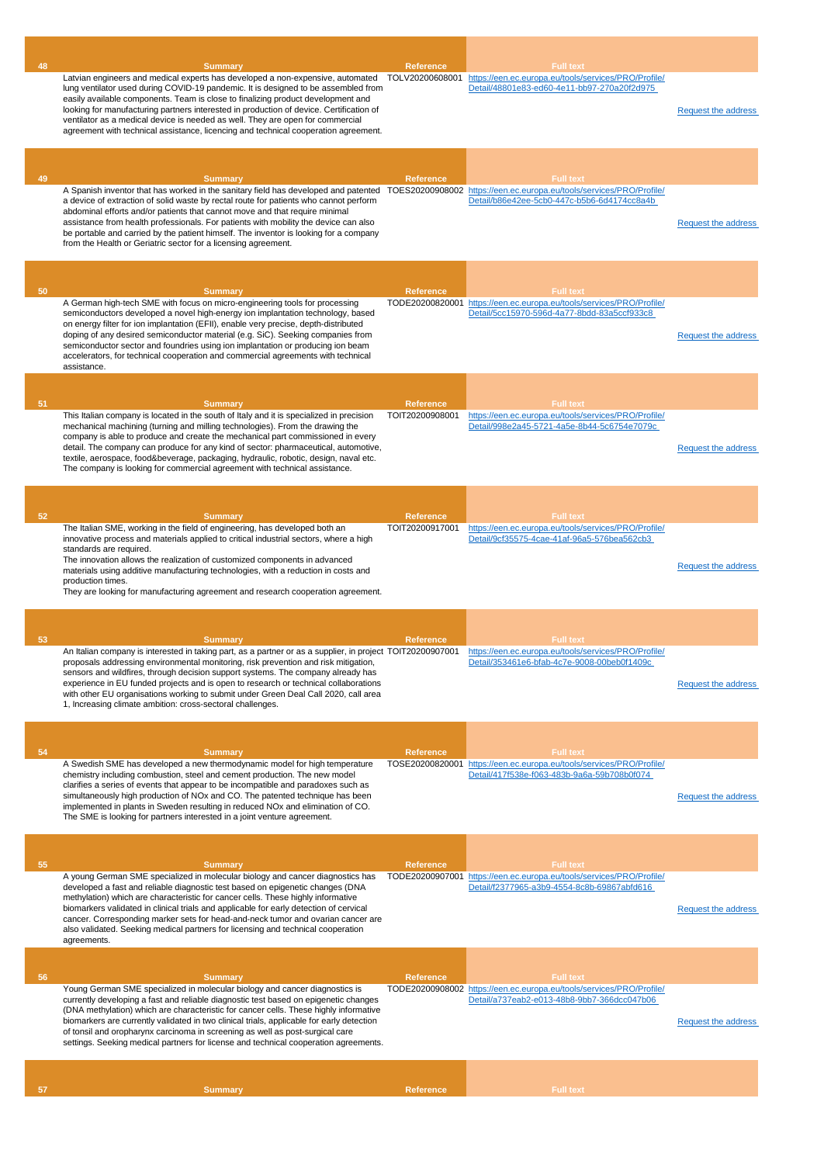| 48 | <b>Summary</b>                                                                                                                                                            | Reference        | <b>Full text</b>                                                                                                    |                            |
|----|---------------------------------------------------------------------------------------------------------------------------------------------------------------------------|------------------|---------------------------------------------------------------------------------------------------------------------|----------------------------|
|    | Latvian engineers and medical experts has developed a non-expensive, automated                                                                                            | TOLV20200608001  | https://een.ec.europa.eu/tools/services/PRO/Profile/<br>Detail/48801e83-ed60-4e11-bb97-270a20f2d975                 |                            |
|    | lung ventilator used during COVID-19 pandemic. It is designed to be assembled from<br>easily available components. Team is close to finalizing product development and    |                  |                                                                                                                     |                            |
|    | looking for manufacturing partners interested in production of device. Certification of                                                                                   |                  |                                                                                                                     | Request the address        |
|    | ventilator as a medical device is needed as well. They are open for commercial                                                                                            |                  |                                                                                                                     |                            |
|    | agreement with technical assistance, licencing and technical cooperation agreement.                                                                                       |                  |                                                                                                                     |                            |
|    |                                                                                                                                                                           |                  |                                                                                                                     |                            |
|    |                                                                                                                                                                           |                  |                                                                                                                     |                            |
| 49 | <b>Summary</b>                                                                                                                                                            | <b>Reference</b> | <b>Full text</b>                                                                                                    |                            |
|    | A Spanish inventor that has worked in the sanitary field has developed and patented TOES20200908002 https://een.ec.europa.eu/tools/services/PRO/Profile/                  |                  | Detail/b86e42ee-5cb0-447c-b5b6-6d4174cc8a4b                                                                         |                            |
|    | a device of extraction of solid waste by rectal route for patients who cannot perform<br>abdominal efforts and/or patients that cannot move and that require minimal      |                  |                                                                                                                     |                            |
|    | assistance from health professionals. For patients with mobility the device can also                                                                                      |                  |                                                                                                                     | <b>Request the address</b> |
|    | be portable and carried by the patient himself. The inventor is looking for a company<br>from the Health or Geriatric sector for a licensing agreement.                   |                  |                                                                                                                     |                            |
|    |                                                                                                                                                                           |                  |                                                                                                                     |                            |
|    |                                                                                                                                                                           |                  |                                                                                                                     |                            |
|    |                                                                                                                                                                           |                  |                                                                                                                     |                            |
| 50 | <b>Summary</b>                                                                                                                                                            | <b>Reference</b> | <b>Full text</b>                                                                                                    |                            |
|    | A German high-tech SME with focus on micro-engineering tools for processing<br>semiconductors developed a novel high-energy ion implantation technology, based            |                  | TODE20200820001 https://een.ec.europa.eu/tools/services/PRO/Profile/<br>Detail/5cc15970-596d-4a77-8bdd-83a5ccf933c8 |                            |
|    | on energy filter for ion implantation (EFII), enable very precise, depth-distributed                                                                                      |                  |                                                                                                                     |                            |
|    | doping of any desired semiconductor material (e.g. SiC). Seeking companies from                                                                                           |                  |                                                                                                                     | <b>Request the address</b> |
|    | semiconductor sector and foundries using ion implantation or producing ion beam<br>accelerators, for technical cooperation and commercial agreements with technical       |                  |                                                                                                                     |                            |
|    | assistance.                                                                                                                                                               |                  |                                                                                                                     |                            |
|    |                                                                                                                                                                           |                  |                                                                                                                     |                            |
|    |                                                                                                                                                                           |                  |                                                                                                                     |                            |
| 51 | <b>Summary</b>                                                                                                                                                            | <b>Reference</b> | <b>Full text</b>                                                                                                    |                            |
|    | This Italian company is located in the south of Italy and it is specialized in precision<br>mechanical machining (turning and milling technologies). From the drawing the | TOIT20200908001  | https://een.ec.europa.eu/tools/services/PRO/Profile/<br>Detail/998e2a45-5721-4a5e-8b44-5c6754e7079c                 |                            |
|    | company is able to produce and create the mechanical part commissioned in every                                                                                           |                  |                                                                                                                     |                            |
|    | detail. The company can produce for any kind of sector: pharmaceutical, automotive,                                                                                       |                  |                                                                                                                     | <b>Request the address</b> |
|    | textile, aerospace, food&beverage, packaging, hydraulic, robotic, design, naval etc.<br>The company is looking for commercial agreement with technical assistance.        |                  |                                                                                                                     |                            |
|    |                                                                                                                                                                           |                  |                                                                                                                     |                            |
|    |                                                                                                                                                                           |                  |                                                                                                                     |                            |
|    |                                                                                                                                                                           |                  |                                                                                                                     |                            |
| 52 | <b>Summary</b>                                                                                                                                                            | <b>Reference</b> | <b>Full text</b>                                                                                                    |                            |
|    | The Italian SME, working in the field of engineering, has developed both an<br>innovative process and materials applied to critical industrial sectors, where a high      | TOIT20200917001  | https://een.ec.europa.eu/tools/services/PRO/Profile/<br>Detail/9cf35575-4cae-41af-96a5-576bea562cb3                 |                            |
|    | standards are required.                                                                                                                                                   |                  |                                                                                                                     |                            |
|    | The innovation allows the realization of customized components in advanced                                                                                                |                  |                                                                                                                     | Request the address        |
|    | materials using additive manufacturing technologies, with a reduction in costs and<br>production times.                                                                   |                  |                                                                                                                     |                            |
|    | They are looking for manufacturing agreement and research cooperation agreement.                                                                                          |                  |                                                                                                                     |                            |
|    |                                                                                                                                                                           |                  |                                                                                                                     |                            |
|    |                                                                                                                                                                           |                  |                                                                                                                     |                            |
| 53 | <b>Summary</b>                                                                                                                                                            | Reference        | <b>Full text</b>                                                                                                    |                            |
|    | An Italian company is interested in taking part, as a partner or as a supplier, in project TOIT20200907001 https://een.ec.europa.eu/tools/services/PRO/Profile/           |                  |                                                                                                                     |                            |
|    | proposals addressing environmental monitoring, risk prevention and risk mitigation,                                                                                       |                  | Detail/353461e6-bfab-4c7e-9008-00beb0f1409c                                                                         |                            |
|    | sensors and wildfires, through decision support systems. The company already has<br>experience in EU funded projects and is open to research or technical collaborations  |                  |                                                                                                                     | <b>Request the address</b> |
|    | with other EU organisations working to submit under Green Deal Call 2020, call area                                                                                       |                  |                                                                                                                     |                            |
|    | 1, Increasing climate ambition: cross-sectoral challenges.                                                                                                                |                  |                                                                                                                     |                            |
|    |                                                                                                                                                                           |                  |                                                                                                                     |                            |
|    |                                                                                                                                                                           |                  |                                                                                                                     |                            |
| 54 | <b>Summary</b>                                                                                                                                                            | <b>Reference</b> | <b>Full text</b>                                                                                                    |                            |
|    | A Swedish SME has developed a new thermodynamic model for high temperature                                                                                                | TOSE20200820001  | https://een.ec.europa.eu/tools/services/PRO/Profile/                                                                |                            |
|    | chemistry including combustion, steel and cement production. The new model<br>clarifies a series of events that appear to be incompatible and paradoxes such as           |                  | Detail/417f538e-f063-483b-9a6a-59b708b0f074                                                                         |                            |
|    | simultaneously high production of NOx and CO. The patented technique has been                                                                                             |                  |                                                                                                                     | <b>Request the address</b> |
|    | implemented in plants in Sweden resulting in reduced NOx and elimination of CO.                                                                                           |                  |                                                                                                                     |                            |
|    | The SME is looking for partners interested in a joint venture agreement.                                                                                                  |                  |                                                                                                                     |                            |
|    |                                                                                                                                                                           |                  |                                                                                                                     |                            |
|    |                                                                                                                                                                           |                  |                                                                                                                     |                            |
| 55 | <b>Summary</b>                                                                                                                                                            | <b>Reference</b> | <b>Full text</b>                                                                                                    |                            |
|    | A young German SME specialized in molecular biology and cancer diagnostics has                                                                                            |                  | TODE20200907001 https://een.ec.europa.eu/tools/services/PRO/Profile/                                                |                            |
|    | developed a fast and reliable diagnostic test based on epigenetic changes (DNA<br>methylation) which are characteristic for cancer cells. These highly informative        |                  | Detail/f2377965-a3b9-4554-8c8b-69867abfd616                                                                         |                            |
|    | biomarkers validated in clinical trials and applicable for early detection of cervical                                                                                    |                  |                                                                                                                     | Request the address        |
|    | cancer. Corresponding marker sets for head-and-neck tumor and ovarian cancer are                                                                                          |                  |                                                                                                                     |                            |
|    | also validated. Seeking medical partners for licensing and technical cooperation<br>agreements.                                                                           |                  |                                                                                                                     |                            |
|    |                                                                                                                                                                           |                  |                                                                                                                     |                            |
|    |                                                                                                                                                                           |                  |                                                                                                                     |                            |
| 56 | <b>Summary</b>                                                                                                                                                            | <b>Reference</b> | <b>Full text</b>                                                                                                    |                            |
|    | Young German SME specialized in molecular biology and cancer diagnostics is<br>currently developing a fast and reliable diagnostic test based on epigenetic changes       |                  | TODE20200908002 https://een.ec.europa.eu/tools/services/PRO/Profile/<br>Detail/a737eab2-e013-48b8-9bb7-366dcc047b06 |                            |
|    | (DNA methylation) which are characteristic for cancer cells. These highly informative                                                                                     |                  |                                                                                                                     |                            |
|    | biomarkers are currently validated in two clinical trials, applicable for early detection                                                                                 |                  |                                                                                                                     | Request the address        |
|    | of tonsil and oropharynx carcinoma in screening as well as post-surgical care<br>settings. Seeking medical partners for license and technical cooperation agreements.     |                  |                                                                                                                     |                            |
|    |                                                                                                                                                                           |                  |                                                                                                                     |                            |
|    |                                                                                                                                                                           |                  |                                                                                                                     |                            |
|    |                                                                                                                                                                           |                  |                                                                                                                     |                            |
| 57 | <b>Summary</b>                                                                                                                                                            | Reference        | <b>Full text</b>                                                                                                    |                            |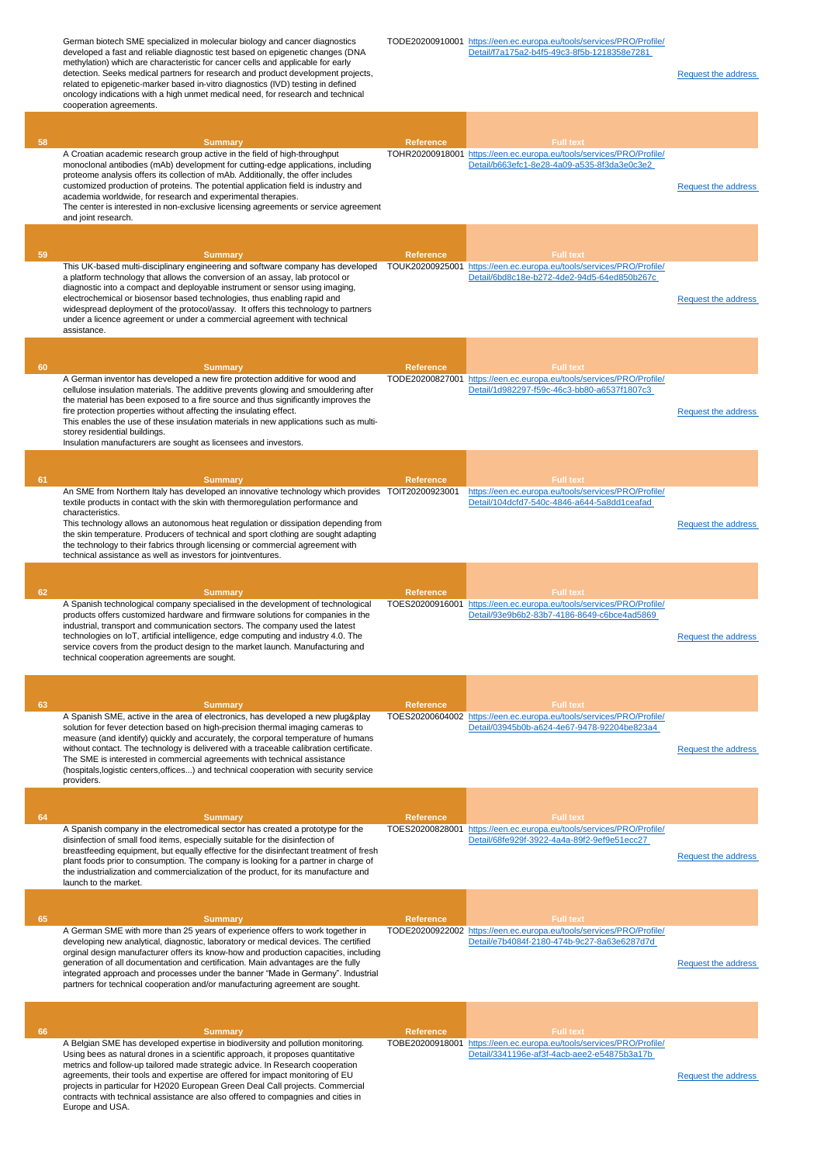German biotech SME specialized in molecular biology and cancer diagnostics developed a fast and reliable diagnostic test based on epigenetic changes (DNA methylation) which are characteristic for cancer cells and applicable for early detection. Seeks medical partners for research and product development projects, related to epigenetic-marker based in-vitro diagnostics (IVD) testing in defined oncology indications with a high unmet medical need, for research and technical cooperation agreements. TODE20200910001 [https://een.ec.europa.eu/tools/services/PRO/Profile/](https://een.ec.europa.eu/tools/services/PRO/Profile/Detail/f7a175a2-b4f5-49c3-8f5b-1218358e7281) [Detail/f7a175a2-b4f5-49c3-8f5b-1218358e7281](https://een.ec.europa.eu/tools/services/PRO/Profile/Detail/f7a175a2-b4f5-49c3-8f5b-1218358e7281)  [Request the address](http://www.een.bg/index.php?option=com_rsform&formId=13)  **58 Summary Reference Full text** A Croatian academic research group active in the field of high-throughput monoclonal antibodies (mAb) development for cutting-edge applications, including proteome analysis offers its collection of mAb. Additionally, the offer includes customized production of proteins. The potential application field is industry and academia worldwide, for research and experimental therapies. The center is interested in non-exclusive licensing agreements or service agreement and joint research. TOHR20200918001 [https://een.ec.europa.eu/tools/services/PRO/Profile/](https://een.ec.europa.eu/tools/services/PRO/Profile/Detail/b663efc1-8e28-4a09-a535-8f3da3e0c3e2) [Detail/b663efc1-8e28-4a09-a535-8f3da3e0c3e2](https://een.ec.europa.eu/tools/services/PRO/Profile/Detail/b663efc1-8e28-4a09-a535-8f3da3e0c3e2)  [Request the address](http://www.een.bg/index.php?option=com_rsform&formId=13)  **59 Summary Reference Full text** This UK-based multi-disciplinary engineering and software company has developed TOUK20200925001 [https://een.ec.europa.eu/tools/services/PRO/Profile/](https://een.ec.europa.eu/tools/services/PRO/Profile/Detail/6bd8c18e-b272-4de2-94d5-64ed850b267c) a platform technology that allows the conversion of an assay, lab protocol or diagnostic into a compact and deployable instrument or sensor using imaging, electrochemical or biosensor based technologies, thus enabling rapid and widespread deployment of the protocol/assay. It offers this technology to partners under a licence agreement or under a commercial agreement with technical assistance. [Detail/6bd8c18e-b272-4de2-94d5-64ed850b267c](https://een.ec.europa.eu/tools/services/PRO/Profile/Detail/6bd8c18e-b272-4de2-94d5-64ed850b267c)  [Request the address](http://www.een.bg/index.php?option=com_rsform&formId=13)  **60 Summary Reference Full text** A German inventor has developed a new fire protection additive for wood and cellulose insulation materials. The additive prevents glowing and smouldering after the material has been exposed to a fire source and thus significantly improves the fire protection properties without affecting the insulating effect. This enables the use of these insulation materials in new applications such as multistorey residential buildings. Insulation manufacturers are sought as licensees and investors. TODE20200827001 [https://een.ec.europa.eu/tools/services/PRO/Profile/](https://een.ec.europa.eu/tools/services/PRO/Profile/Detail/1d982297-f59c-46c3-bb80-a6537f1807c3) [Detail/1d982297-f59c-46c3-bb80-a6537f1807c3](https://een.ec.europa.eu/tools/services/PRO/Profile/Detail/1d982297-f59c-46c3-bb80-a6537f1807c3)  [Request the address](http://www.een.bg/index.php?option=com_rsform&formId=13)  **61 Summary Reference Full text** An SME from Northern Italy has developed an innovative technology which provides TOIT20200923001 textile products in contact with the skin with thermoregulation performance and characteristics. This technology allows an autonomous heat regulation or dissipation depending from the skin temperature. Producers of technical and sport clothing are sought adapting the technology to their fabrics through licensing or commercial agreement with technical assistance as well as investors for jointventures. [https://een.ec.europa.eu/tools/services/PRO/Profile/](https://een.ec.europa.eu/tools/services/PRO/Profile/Detail/104dcfd7-540c-4846-a644-5a8dd1ceafad) [Detail/104dcfd7-540c-4846-a644-5a8dd1ceafad](https://een.ec.europa.eu/tools/services/PRO/Profile/Detail/104dcfd7-540c-4846-a644-5a8dd1ceafad)  [Request the address](http://www.een.bg/index.php?option=com_rsform&formId=13)  **62 Summary Reference Full text** A Spanish technological company specialised in the development of technological products offers customized hardware and firmware solutions for companies in the industrial, transport and communication sectors. The company used the latest technologies on IoT, artificial intelligence, edge computing and industry 4.0. The service covers from the product design to the market launch. Manufacturing and technical cooperation agreements are sought. TOES20200916001 [https://een.ec.europa.eu/tools/services/PRO/Profile/](https://een.ec.europa.eu/tools/services/PRO/Profile/Detail/93e9b6b2-83b7-4186-8649-c6bce4ad5869) [Detail/93e9b6b2-83b7-4186-8649-c6bce4ad5869](https://een.ec.europa.eu/tools/services/PRO/Profile/Detail/93e9b6b2-83b7-4186-8649-c6bce4ad5869)  [Request the address](http://www.een.bg/index.php?option=com_rsform&formId=13)  **63 Summary Reference Full text** A Spanish SME, active in the area of electronics, has developed a new plug&play solution for fever detection based on high-precision thermal imaging cameras to measure (and identify) quickly and accurately, the corporal temperature of humans without contact. The technology is delivered with a traceable calibration certificate. The SME is interested in commercial agreements with technical assistance (hospitals,logistic centers,offices...) and technical cooperation with security service providers. TOES20200604002 [https://een.ec.europa.eu/tools/services/PRO/Profile/](https://een.ec.europa.eu/tools/services/PRO/Profile/Detail/03945b0b-a624-4e67-9478-92204be823a4) [Detail/03945b0b-a624-4e67-9478-92204be823a4](https://een.ec.europa.eu/tools/services/PRO/Profile/Detail/03945b0b-a624-4e67-9478-92204be823a4)  [Request the address](http://www.een.bg/index.php?option=com_rsform&formId=13)  **64 Summary Reference Full text** A Spanish company in the electromedical sector has created a prototype for the disinfection of small food items, especially suitable for the disinfection of breastfeeding equipment, but equally effective for the disinfectant treatment of fresh plant foods prior to consumption. The company is looking for a partner in charge of the industrialization and commercialization of the product, for its manufacture and launch to the market. TOES20200828001 [https://een.ec.europa.eu/tools/services/PRO/Profile/](https://een.ec.europa.eu/tools/services/PRO/Profile/Detail/68fe929f-3922-4a4a-89f2-9ef9e51ecc27) [Detail/68fe929f-3922-4a4a-89f2-9ef9e51ecc27](https://een.ec.europa.eu/tools/services/PRO/Profile/Detail/68fe929f-3922-4a4a-89f2-9ef9e51ecc27)  [Request the address](http://www.een.bg/index.php?option=com_rsform&formId=13)  **65 Summary Reference Full text** A German SME with more than 25 years of experience offers to work together in developing new analytical, diagnostic, laboratory or medical devices. The certified orginal design manufacturer offers its know-how and production capacities, including generation of all documentation and certification. Main advantages are the fully integrated approach and processes under the banner "Made in Germany". Industrial partners for technical cooperation and/or manufacturing agreement are sought. TODE20200922002 [https://een.ec.europa.eu/tools/services/PRO/Profile/](https://een.ec.europa.eu/tools/services/PRO/Profile/Detail/e7b4084f-2180-474b-9c27-8a63e6287d7d) [Detail/e7b4084f-2180-474b-9c27-8a63e6287d7d](https://een.ec.europa.eu/tools/services/PRO/Profile/Detail/e7b4084f-2180-474b-9c27-8a63e6287d7d)  [Request the address](http://www.een.bg/index.php?option=com_rsform&formId=13)  **66 Summary Reference Full text** A Belgian SME has developed expertise in biodiversity and pollution monitoring. Using bees as natural drones in a scientific approach, it proposes quantitative metrics and follow-up tailored made strategic advice. In Research cooperation agreements, their tools and expertise are offered for impact monitoring of EU projects in particular for H2020 European Green Deal Call projects. Commercial contracts with technical assistance are also offered to compagnies and cities in Europe and USA. TOBE20200918001 [https://een.ec.europa.eu/tools/services/PRO/Profile/](https://een.ec.europa.eu/tools/services/PRO/Profile/Detail/3341196e-af3f-4acb-aee2-e54875b3a17b) [Detail/3341196e-af3f-4acb-aee2-e54875b3a17b](https://een.ec.europa.eu/tools/services/PRO/Profile/Detail/3341196e-af3f-4acb-aee2-e54875b3a17b)  [Request the address](http://www.een.bg/index.php?option=com_rsform&formId=13)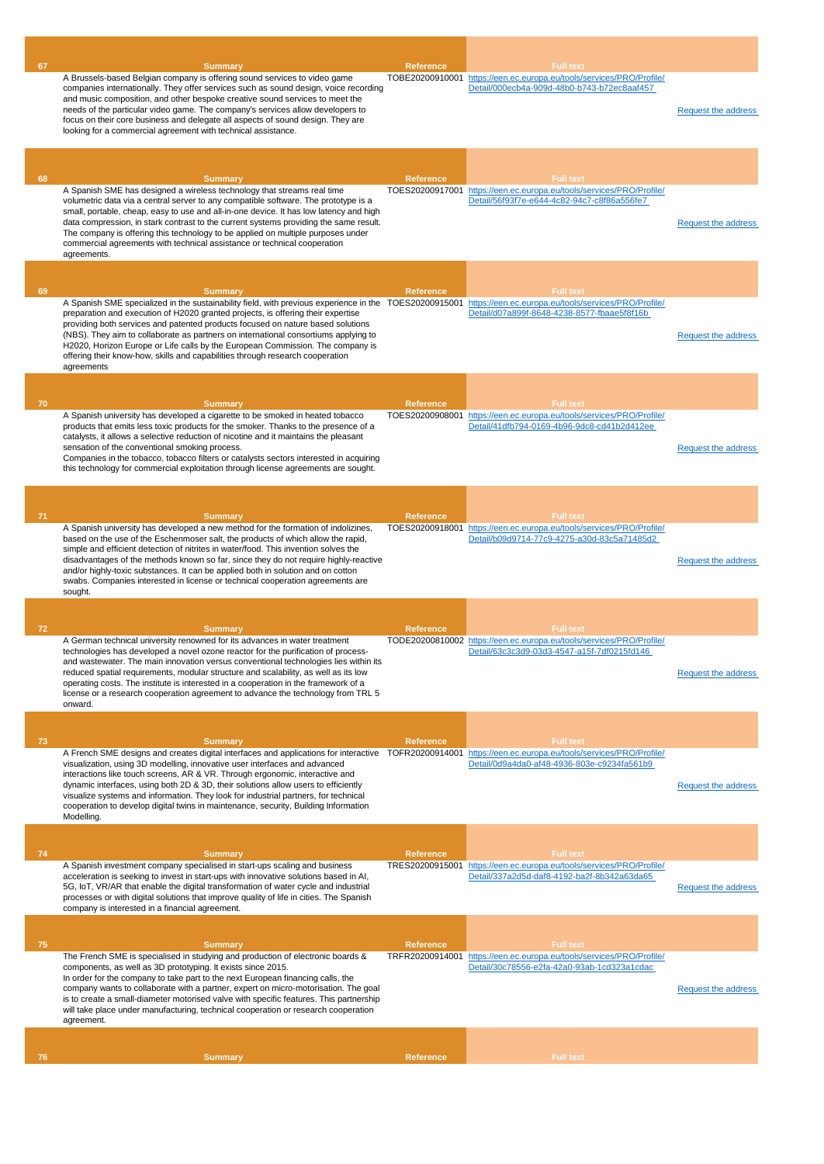| 67 | <b>Summary</b><br>A Brussels-based Belgian company is offering sound services to video game<br>companies internationally. They offer services such as sound design, voice recording<br>and music composition, and other bespoke creative sound services to meet the<br>needs of the particular video game. The company's services allow developers to<br>focus on their core business and delegate all aspects of sound design. They are<br>looking for a commercial agreement with technical assistance.                                                                                                                    | Reference<br>TOBE20200910001        | <b>Full text</b><br>https://een.ec.europa.eu/tools/services/PRO/Profile/<br>Detail/000ecb4a-909d-48b0-b743-b72ec8aaf457                 | <b>Request the address</b> |
|----|------------------------------------------------------------------------------------------------------------------------------------------------------------------------------------------------------------------------------------------------------------------------------------------------------------------------------------------------------------------------------------------------------------------------------------------------------------------------------------------------------------------------------------------------------------------------------------------------------------------------------|-------------------------------------|-----------------------------------------------------------------------------------------------------------------------------------------|----------------------------|
|    |                                                                                                                                                                                                                                                                                                                                                                                                                                                                                                                                                                                                                              |                                     |                                                                                                                                         |                            |
| 68 | <b>Summary</b><br>A Spanish SME has designed a wireless technology that streams real time<br>volumetric data via a central server to any compatible software. The prototype is a<br>small, portable, cheap, easy to use and all-in-one device. It has low latency and high<br>data compression, in stark contrast to the current systems providing the same result.<br>The company is offering this technology to be applied on multiple purposes under<br>commercial agreements with technical assistance or technical cooperation<br>agreements.                                                                           | Reference                           | <b>Full text</b><br>TOES20200917001 https://een.ec.europa.eu/tools/services/PRO/Profile/<br>Detail/56f93f7e-e644-4c82-94c7-c8f86a556fe7 | <b>Request the address</b> |
|    |                                                                                                                                                                                                                                                                                                                                                                                                                                                                                                                                                                                                                              |                                     |                                                                                                                                         |                            |
| 69 | <b>Summary</b><br>A Spanish SME specialized in the sustainability field, with previous experience in the TOES20200915001 https://een.ec.europa.eu/tools/services/PRO/Profile/<br>preparation and execution of H2020 granted projects, is offering their expertise<br>providing both services and patented products focused on nature based solutions<br>(NBS). They aim to collaborate as partners on international consortiums applying to<br>H2020, Horizon Europe or Life calls by the European Commission. The company is<br>offering their know-how, skills and capabilities through research cooperation<br>agreements | <b>Reference</b>                    | <b>Full text</b><br>Detail/d07a899f-8648-4238-8577-fbaae5f8f16b                                                                         | <b>Request the address</b> |
|    |                                                                                                                                                                                                                                                                                                                                                                                                                                                                                                                                                                                                                              |                                     |                                                                                                                                         |                            |
| 70 | <b>Summary</b><br>A Spanish university has developed a cigarette to be smoked in heated tobacco<br>products that emits less toxic products for the smoker. Thanks to the presence of a<br>catalysts, it allows a selective reduction of nicotine and it maintains the pleasant<br>sensation of the conventional smoking process.<br>Companies in the tobacco, tobacco filters or catalysts sectors interested in acquiring<br>this technology for commercial exploitation through license agreements are sought.                                                                                                             | <b>Reference</b>                    | Full fext<br>TOES20200908001 https://een.ec.europa.eu/tools/services/PRO/Profile/<br>Detail/41dfb794-0169-4b96-9dc8-cd41b2d412ee        | Request the address        |
|    |                                                                                                                                                                                                                                                                                                                                                                                                                                                                                                                                                                                                                              |                                     |                                                                                                                                         |                            |
| 71 | <b>Summary</b><br>A Spanish university has developed a new method for the formation of indolizines,<br>based on the use of the Eschenmoser salt, the products of which allow the rapid,<br>simple and efficient detection of nitrites in water/food. This invention solves the<br>disadvantages of the methods known so far, since they do not require highly-reactive<br>and/or highly-toxic substances. It can be applied both in solution and on cotton<br>swabs. Companies interested in license or technical cooperation agreements are<br>sought.                                                                      | <b>Reference</b><br>TOES20200918001 | <b>Full text</b><br>https://een.ec.europa.eu/tools/services/PRO/Profile/<br>Detail/b09d9714-77c9-4275-a30d-83c5a71485d2                 | <b>Request the address</b> |
|    |                                                                                                                                                                                                                                                                                                                                                                                                                                                                                                                                                                                                                              |                                     |                                                                                                                                         |                            |
| 72 | <b>Summary</b><br>A German technical university renowned for its advances in water treatment<br>technologies has developed a novel ozone reactor for the purification of process-<br>and wastewater. The main innovation versus conventional technologies lies within its<br>reduced spatial requirements, modular structure and scalability, as well as its low<br>operating costs. The institute is interested in a cooperation in the framework of a<br>license or a research cooperation agreement to advance the technology from TRL 5<br>onward.                                                                       | <b>Reference</b>                    | <b>Full text</b><br>TODE20200810002 https://een.ec.europa.eu/tools/services/PRO/Profile/<br>Detail/63c3c3d9-03d3-4547-a15f-7df0215fd146 | <b>Request the address</b> |
|    |                                                                                                                                                                                                                                                                                                                                                                                                                                                                                                                                                                                                                              |                                     |                                                                                                                                         |                            |
| 73 | <b>Summary</b><br>A French SME designs and creates digital interfaces and applications for interactive<br>visualization, using 3D modelling, innovative user interfaces and advanced<br>interactions like touch screens, AR & VR. Through ergonomic, interactive and<br>dynamic interfaces, using both 2D & 3D, their solutions allow users to efficiently<br>visualize systems and information. They look for industrial partners, for technical<br>cooperation to develop digital twins in maintenance, security, Building Information<br>Modelling.                                                                       | Reference<br>TOFR20200914001        | <b>Full text</b><br>https://een.ec.europa.eu/tools/services/PRO/Profile/<br>Detail/0d9a4da0-af48-4936-803e-c9234fa561b9                 | <b>Request the address</b> |
|    |                                                                                                                                                                                                                                                                                                                                                                                                                                                                                                                                                                                                                              |                                     |                                                                                                                                         |                            |
| 74 | <b>Summary</b><br>A Spanish investment company specialised in start-ups scaling and business<br>acceleration is seeking to invest in start-ups with innovative solutions based in AI,<br>5G, IoT, VR/AR that enable the digital transformation of water cycle and industrial<br>processes or with digital solutions that improve quality of life in cities. The Spanish<br>company is interested in a financial agreement.                                                                                                                                                                                                   | <b>Reference</b><br>TRES20200915001 | <b>Full text</b><br>https://een.ec.europa.eu/tools/services/PRO/Profile/<br>Detail/337a2d5d-daf8-4192-ba2f-8b342a63da65                 | Request the address        |
|    |                                                                                                                                                                                                                                                                                                                                                                                                                                                                                                                                                                                                                              |                                     |                                                                                                                                         |                            |
| 75 | <b>Summary</b><br>The French SME is specialised in studying and production of electronic boards &<br>components, as well as 3D prototyping. It exists since 2015.<br>In order for the company to take part to the next European financing calls, the<br>company wants to collaborate with a partner, expert on micro-motorisation. The goal<br>is to create a small-diameter motorised valve with specific features. This partnership<br>will take place under manufacturing, technical cooperation or research cooperation<br>agreement.                                                                                    | <b>Reference</b>                    | <b>Full text</b><br>TRFR20200914001 https://een.ec.europa.eu/tools/services/PRO/Profile/<br>Detail/30c78556-e2fa-42a0-93ab-1cd323a1cdac | <b>Request the address</b> |
| 76 |                                                                                                                                                                                                                                                                                                                                                                                                                                                                                                                                                                                                                              | <b>Reference</b>                    | <b>Full text</b>                                                                                                                        |                            |
|    | <b>Summary</b>                                                                                                                                                                                                                                                                                                                                                                                                                                                                                                                                                                                                               |                                     |                                                                                                                                         |                            |